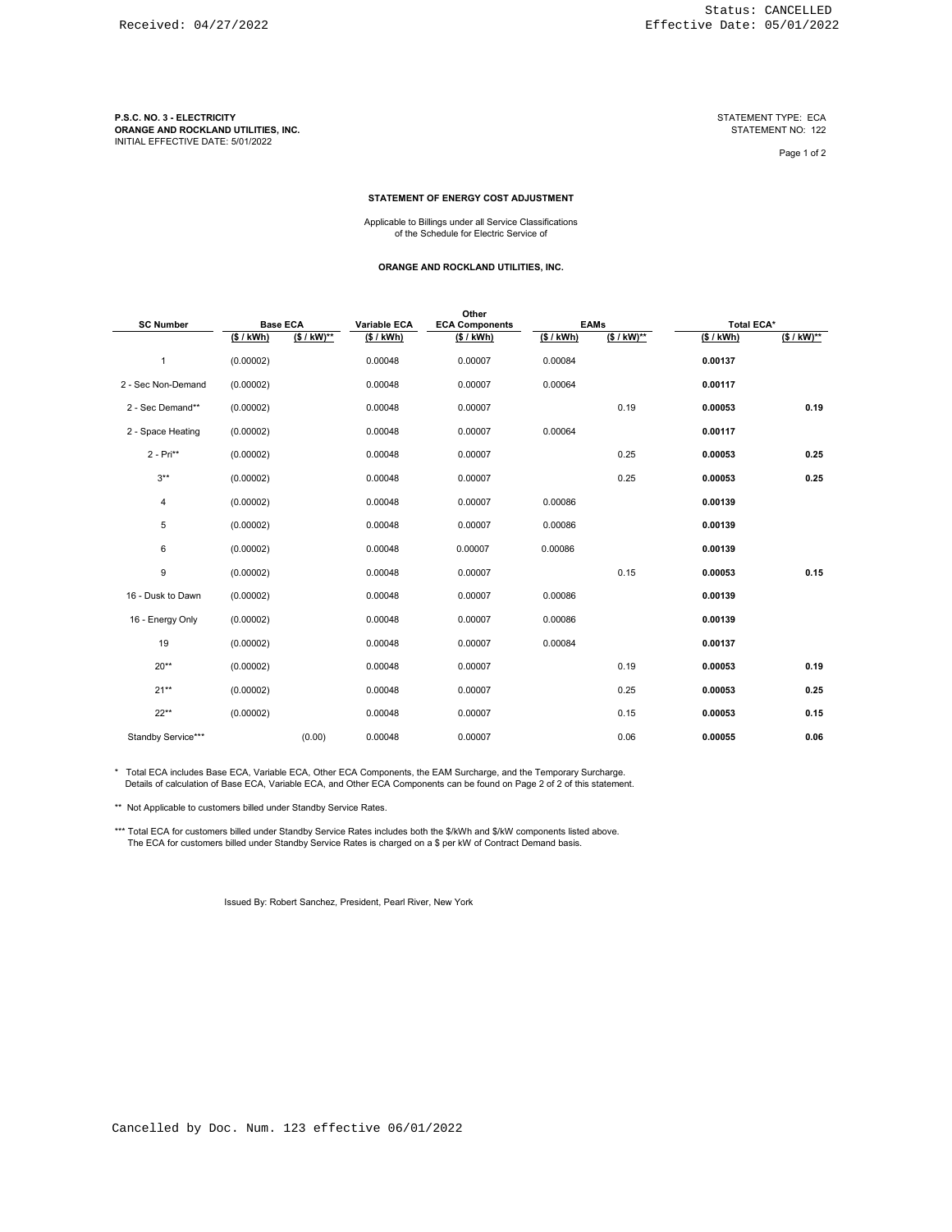**P.S.C. NO. 3 - ELECTRICITY**<br>ORANGE AND ROCKLAND UTILITIES, INC.<br>INITIAL EFFECTIVE DATE: 5/01/2022

Page 1 of 2

#### **STATEMENT OF ENERGY COST ADJUSTMENT**

Applicable to Billings under all Service Classifications of the Schedule for Electric Service of

#### **ORANGE AND ROCKLAND UTILITIES, INC.**

| <b>SC Number</b>   | <b>Base ECA</b> |               | Variable ECA | Other<br><b>ECA Components</b> | <b>EAMs</b> |              | <b>Total ECA*</b> |              |
|--------------------|-----------------|---------------|--------------|--------------------------------|-------------|--------------|-------------------|--------------|
|                    | (S / KWh)       | $(S / kW)$ ** | (S/kWh)      | (S/kWh)                        | (S/kWh)     | $($ /$ kW)** | (S / KWh)         | $($ /$ kW)** |
| 1                  | (0.00002)       |               | 0.00048      | 0.00007                        | 0.00084     |              | 0.00137           |              |
| 2 - Sec Non-Demand | (0.00002)       |               | 0.00048      | 0.00007                        | 0.00064     |              | 0.00117           |              |
| 2 - Sec Demand**   | (0.00002)       |               | 0.00048      | 0.00007                        |             | 0.19         | 0.00053           | 0.19         |
| 2 - Space Heating  | (0.00002)       |               | 0.00048      | 0.00007                        | 0.00064     |              | 0.00117           |              |
| $2 - Pri**$        | (0.00002)       |               | 0.00048      | 0.00007                        |             | 0.25         | 0.00053           | 0.25         |
| $3***$             | (0.00002)       |               | 0.00048      | 0.00007                        |             | 0.25         | 0.00053           | 0.25         |
| 4                  | (0.00002)       |               | 0.00048      | 0.00007                        | 0.00086     |              | 0.00139           |              |
| 5                  | (0.00002)       |               | 0.00048      | 0.00007                        | 0.00086     |              | 0.00139           |              |
| 6                  | (0.00002)       |               | 0.00048      | 0.00007                        | 0.00086     |              | 0.00139           |              |
| 9                  | (0.00002)       |               | 0.00048      | 0.00007                        |             | 0.15         | 0.00053           | 0.15         |
| 16 - Dusk to Dawn  | (0.00002)       |               | 0.00048      | 0.00007                        | 0.00086     |              | 0.00139           |              |
| 16 - Energy Only   | (0.00002)       |               | 0.00048      | 0.00007                        | 0.00086     |              | 0.00139           |              |
| 19                 | (0.00002)       |               | 0.00048      | 0.00007                        | 0.00084     |              | 0.00137           |              |
| $20**$             | (0.00002)       |               | 0.00048      | 0.00007                        |             | 0.19         | 0.00053           | 0.19         |
| $21**$             | (0.00002)       |               | 0.00048      | 0.00007                        |             | 0.25         | 0.00053           | 0.25         |
| $22**$             | (0.00002)       |               | 0.00048      | 0.00007                        |             | 0.15         | 0.00053           | 0.15         |
| Standby Service*** |                 | (0.00)        | 0.00048      | 0.00007                        |             | 0.06         | 0.00055           | 0.06         |

\* Total ECA includes Base ECA, Variable ECA, Other ECA Components, the EAM Surcharge, and the Temporary Surcharge. Details of calculation of Base ECA, Variable ECA, and Other ECA Components can be found on Page 2 of 2 of this statement.

\*\* Not Applicable to customers billed under Standby Service Rates.

\*\*\* Total ECA for customers billed under Standby Service Rates includes both the \$/kWh and \$/kW components listed above.<br>The ECA for customers billed under Standby Service Rates is charged on a \$ per kW of Contract Demand

Issued By: Robert Sanchez, President, Pearl River, New York